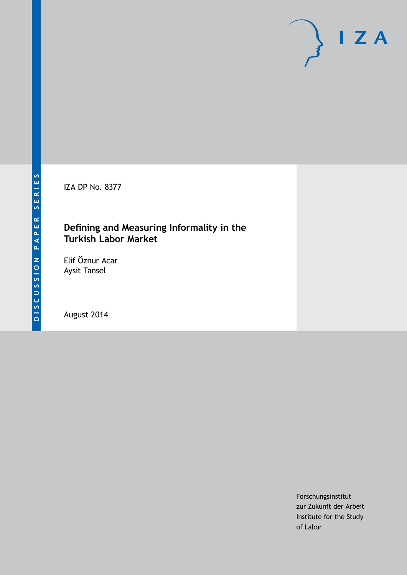IZA DP No. 8377

### **Defining and Measuring Informality in the Turkish Labor Market**

Elif Öznur Acar Aysit Tansel

August 2014

Forschungsinstitut zur Zukunft der Arbeit Institute for the Study of Labor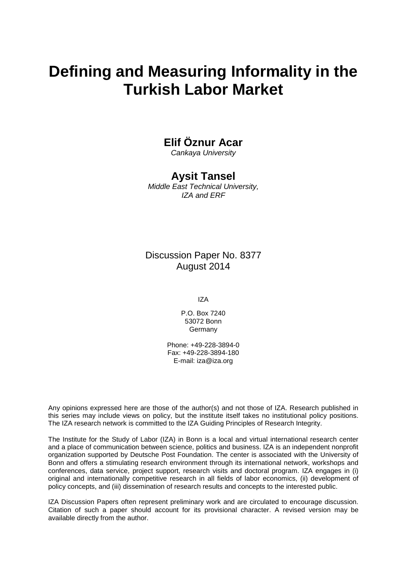# **Defining and Measuring Informality in the Turkish Labor Market**

### **Elif Öznur Acar**

*Cankaya University*

### **Aysit Tansel**

*Middle East Technical University, IZA and ERF*

### Discussion Paper No. 8377 August 2014

IZA

P.O. Box 7240 53072 Bonn Germany

Phone: +49-228-3894-0 Fax: +49-228-3894-180 E-mail: [iza@iza.org](mailto:iza@iza.org)

Any opinions expressed here are those of the author(s) and not those of IZA. Research published in this series may include views on policy, but the institute itself takes no institutional policy positions. The IZA research network is committed to the IZA Guiding Principles of Research Integrity.

The Institute for the Study of Labor (IZA) in Bonn is a local and virtual international research center and a place of communication between science, politics and business. IZA is an independent nonprofit organization supported by Deutsche Post Foundation. The center is associated with the University of Bonn and offers a stimulating research environment through its international network, workshops and conferences, data service, project support, research visits and doctoral program. IZA engages in (i) original and internationally competitive research in all fields of labor economics, (ii) development of policy concepts, and (iii) dissemination of research results and concepts to the interested public.

<span id="page-1-0"></span>IZA Discussion Papers often represent preliminary work and are circulated to encourage discussion. Citation of such a paper should account for its provisional character. A revised version may be available directly from the author.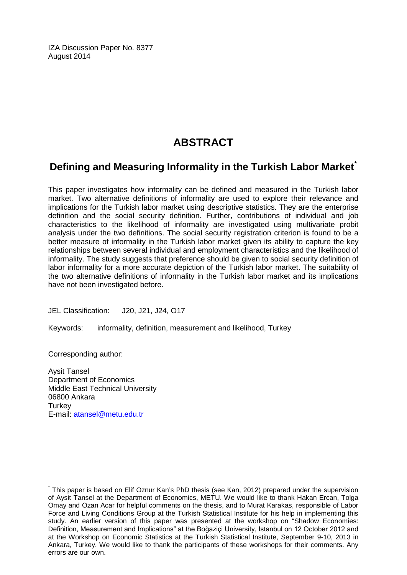IZA Discussion Paper No. 8377 August 2014

### **ABSTRACT**

### **Defining and Measuring Informality in the Turkish Labor Market[\\*](#page-1-0)**

This paper investigates how informality can be defined and measured in the Turkish labor market. Two alternative definitions of informality are used to explore their relevance and implications for the Turkish labor market using descriptive statistics. They are the enterprise definition and the social security definition. Further, contributions of individual and job characteristics to the likelihood of informality are investigated using multivariate probit analysis under the two definitions. The social security registration criterion is found to be a better measure of informality in the Turkish labor market given its ability to capture the key relationships between several individual and employment characteristics and the likelihood of informality. The study suggests that preference should be given to social security definition of labor informality for a more accurate depiction of the Turkish labor market. The suitability of the two alternative definitions of informality in the Turkish labor market and its implications have not been investigated before.

JEL Classification: J20, J21, J24, O17

Keywords: informality, definition, measurement and likelihood, Turkey

Corresponding author:

Aysit Tansel Department of Economics Middle East Technical University 06800 Ankara **Turkey** E-mail: [atansel@metu.edu.tr](mailto:atansel@metu.edu.tr)

This paper is based on Elif Oznur Kan's PhD thesis (see Kan, 2012) prepared under the supervision of Aysit Tansel at the Department of Economics, METU. We would like to thank Hakan Ercan, Tolga Omay and Ozan Acar for helpful comments on the thesis, and to Murat Karakas, responsible of Labor Force and Living Conditions Group at the Turkish Statistical Institute for his help in implementing this study. An earlier version of this paper was presented at the workshop on "Shadow Economies: Definition, Measurement and Implications" at the Boğaziçi University, Istanbul on 12 October 2012 and at the Workshop on Economic Statistics at the Turkish Statistical Institute, September 9-10, 2013 in Ankara, Turkey. We would like to thank the participants of these workshops for their comments. Any errors are our own.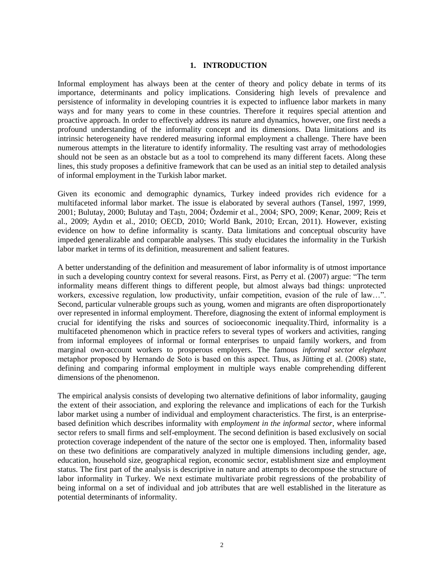#### **1. INTRODUCTION**

Informal employment has always been at the center of theory and policy debate in terms of its importance, determinants and policy implications. Considering high levels of prevalence and persistence of informality in developing countries it is expected to influence labor markets in many ways and for many years to come in these countries. Therefore it requires special attention and proactive approach. In order to effectively address its nature and dynamics, however, one first needs a profound understanding of the informality concept and its dimensions. Data limitations and its intrinsic heterogeneity have rendered measuring informal employment a challenge. There have been numerous attempts in the literature to identify informality. The resulting vast array of methodologies should not be seen as an obstacle but as a tool to comprehend its many different facets. Along these lines, this study proposes a definitive framework that can be used as an initial step to detailed analysis of informal employment in the Turkish labor market.

Given its economic and demographic dynamics, Turkey indeed provides rich evidence for a multifaceted informal labor market. The issue is elaborated by several authors (Tansel, 1997, 1999, 2001; Bulutay, 2000; Bulutay and Taştı, 2004; Özdemir et al., 2004; SPO, 2009; Kenar, 2009; Reis et al., 2009; Aydın et al., 2010; OECD, 2010; World Bank, 2010; Ercan, 2011). However, existing evidence on how to define informality is scanty. Data limitations and conceptual obscurity have impeded generalizable and comparable analyses. This study elucidates the informality in the Turkish labor market in terms of its definition, measurement and salient features.

A better understanding of the definition and measurement of labor informality is of utmost importance in such a developing country context for several reasons. First, as Perry et al. (2007) argue: "The term informality means different things to different people, but almost always bad things: unprotected workers, excessive regulation, low productivity, unfair competition, evasion of the rule of law...". Second, particular vulnerable groups such as young, women and migrants are often disproportionately over represented in informal employment. Therefore, diagnosing the extent of informal employment is crucial for identifying the risks and sources of socioeconomic inequality.Third, informality is a multifaceted phenomenon which in practice refers to several types of workers and activities, ranging from informal employees of informal or formal enterprises to unpaid family workers, and from marginal own-account workers to prosperous employers. The famous *informal sector elephant* metaphor proposed by Hernando de Soto is based on this aspect. Thus, as Jütting et al. (2008) state, defining and comparing informal employment in multiple ways enable comprehending different dimensions of the phenomenon.

The empirical analysis consists of developing two alternative definitions of labor informality, gauging the extent of their association, and exploring the relevance and implications of each for the Turkish labor market using a number of individual and employment characteristics. The first, is an enterprisebased definition which describes informality with *employment in the informal sector*, where informal sector refers to small firms and self-employment. The second definition is based exclusively on social protection coverage independent of the nature of the sector one is employed. Then, informality based on these two definitions are comparatively analyzed in multiple dimensions including gender, age, education, household size, geographical region, economic sector, establishment size and employment status. The first part of the analysis is descriptive in nature and attempts to decompose the structure of labor informality in Turkey. We next estimate multivariate probit regressions of the probability of being informal on a set of individual and job attributes that are well established in the literature as potential determinants of informality.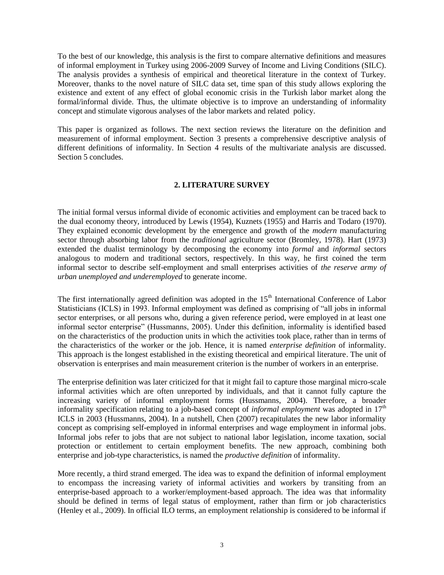To the best of our knowledge, this analysis is the first to compare alternative definitions and measures of informal employment in Turkey using 2006-2009 Survey of Income and Living Conditions (SILC). The analysis provides a synthesis of empirical and theoretical literature in the context of Turkey. Moreover, thanks to the novel nature of SILC data set, time span of this study allows exploring the existence and extent of any effect of global economic crisis in the Turkish labor market along the formal/informal divide. Thus, the ultimate objective is to improve an understanding of informality concept and stimulate vigorous analyses of the labor markets and related policy.

This paper is organized as follows. The next section reviews the literature on the definition and measurement of informal employment. Section 3 presents a comprehensive descriptive analysis of different definitions of informality. In Section 4 results of the multivariate analysis are discussed. Section 5 concludes.

#### **2. LITERATURE SURVEY**

The initial formal versus informal divide of economic activities and employment can be traced back to the dual economy theory, introduced by Lewis (1954), Kuznets (1955) and Harris and Todaro (1970). They explained economic development by the emergence and growth of the *modern* manufacturing sector through absorbing labor from the *traditional* agriculture sector (Bromley, 1978). Hart (1973) extended the dualist terminology by decomposing the economy into *formal* and *informal* sectors analogous to modern and traditional sectors, respectively. In this way, he first coined the term informal sector to describe self-employment and small enterprises activities of *the reserve army of urban unemployed and underemployed* to generate income.

The first internationally agreed definition was adopted in the 15<sup>th</sup> International Conference of Labor Statisticians (ICLS) in 1993. Informal employment was defined as comprising of "all jobs in informal sector enterprises, or all persons who, during a given reference period, were employed in at least one informal sector enterprise" (Hussmanns, 2005). Under this definition, informality is identified based on the characteristics of the production units in which the activities took place, rather than in terms of the characteristics of the worker or the job. Hence, it is named *enterprise definition* of informality. This approach is the longest established in the existing theoretical and empirical literature. The unit of observation is enterprises and main measurement criterion is the number of workers in an enterprise.

The enterprise definition was later criticized for that it might fail to capture those marginal micro-scale informal activities which are often unreported by individuals, and that it cannot fully capture the increasing variety of informal employment forms (Hussmanns, 2004). Therefore, a broader informality specification relating to a job-based concept of *informal employment* was adopted in  $17<sup>th</sup>$ ICLS in 2003 (Hussmanns, 2004). In a nutshell, Chen (2007) recapitulates the new labor informality concept as comprising self-employed in informal enterprises and wage employment in informal jobs. Informal jobs refer to jobs that are not subject to national labor legislation, income taxation, social protection or entitlement to certain employment benefits. The new approach, combining both enterprise and job-type characteristics, is named the *productive definition* of informality.

More recently, a third strand emerged. The idea was to expand the definition of informal employment to encompass the increasing variety of informal activities and workers by transiting from an enterprise-based approach to a worker/employment-based approach. The idea was that informality should be defined in terms of legal status of employment, rather than firm or job characteristics (Henley et al., 2009). In official ILO terms, an employment relationship is considered to be informal if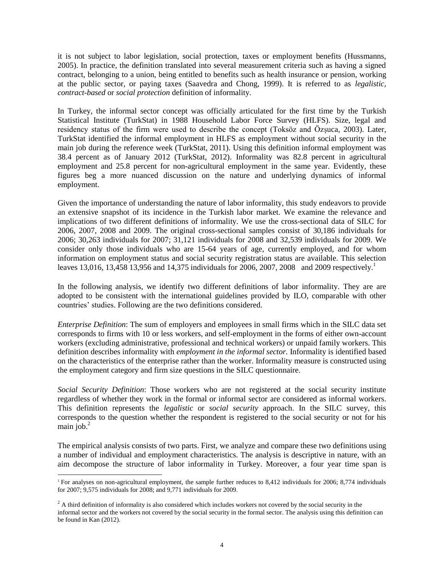it is not subject to labor legislation, social protection, taxes or employment benefits (Hussmanns, 2005). In practice, the definition translated into several measurement criteria such as having a signed contract, belonging to a union, being entitled to benefits such as health insurance or pension, working at the public sector, or paying taxes (Saavedra and Chong, 1999). It is referred to as *legalistic, contract-based* or *social protection* definition of informality.

In Turkey, the informal sector concept was officially articulated for the first time by the Turkish Statistical Institute (TurkStat) in 1988 Household Labor Force Survey (HLFS). Size, legal and residency status of the firm were used to describe the concept (Toksöz and Özşuca, 2003). Later, TurkStat identified the informal employment in HLFS as employment without social security in the main job during the reference week (TurkStat, 2011). Using this definition informal employment was 38.4 percent as of January 2012 (TurkStat, 2012). Informality was 82.8 percent in agricultural employment and 25.8 percent for non-agricultural employment in the same year. Evidently, these figures beg a more nuanced discussion on the nature and underlying dynamics of informal employment.

Given the importance of understanding the nature of labor informality, this study endeavors to provide an extensive snapshot of its incidence in the Turkish labor market. We examine the relevance and implications of two different definitions of informality. We use the cross-sectional data of SILC for 2006, 2007, 2008 and 2009. The original cross-sectional samples consist of 30,186 individuals for 2006; 30,263 individuals for 2007; 31,121 individuals for 2008 and 32,539 individuals for 2009. We consider only those individuals who are 15-64 years of age, currently employed, and for whom information on employment status and social security registration status are available. This selection leaves 13,016, 13,458 13,956 and 14,375 individuals for 2006, 2007, 2008 and 2009 respectively.<sup>1</sup>

In the following analysis, we identify two different definitions of labor informality. They are are adopted to be consistent with the international guidelines provided by ILO, comparable with other countries' studies. Following are the two definitions considered.

*Enterprise Definition*: The sum of employers and employees in small firms which in the SILC data set corresponds to firms with 10 or less workers, and self-employment in the forms of either own-account workers (excluding administrative, professional and technical workers) or unpaid family workers. This definition describes informality with *employment in the informal sector.* Informality is identified based on the characteristics of the enterprise rather than the worker. Informality measure is constructed using the employment category and firm size questions in the SILC questionnaire.

*Social Security Definition*: Those workers who are not registered at the social security institute regardless of whether they work in the formal or informal sector are considered as informal workers. This definition represents the *legalistic* or *social security* approach. In the SILC survey, this corresponds to the question whether the respondent is registered to the social security or not for his main job. $<sup>2</sup>$ </sup>

The empirical analysis consists of two parts. First, we analyze and compare these two definitions using a number of individual and employment characteristics. The analysis is descriptive in nature, with an aim decompose the structure of labor informality in Turkey. Moreover, a four year time span is

 $\overline{a}$ 

<sup>1</sup> For analyses on non-agricultural employment, the sample further reduces to 8,412 individuals for 2006; 8,774 individuals for 2007; 9,575 individuals for 2008; and 9,771 individuals for 2009.

 $2<sup>2</sup>$  A third definition of informality is also considered which includes workers not covered by the social security in the informal sector and the workers not covered by the social security in the formal sector. The analysis using this definition can be found in Kan (2012).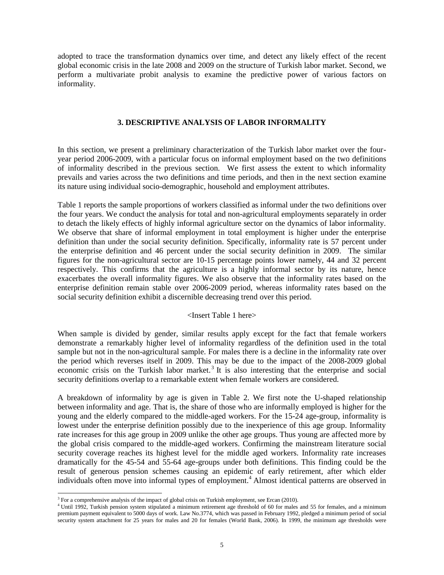adopted to trace the transformation dynamics over time, and detect any likely effect of the recent global economic crisis in the late 2008 and 2009 on the structure of Turkish labor market. Second, we perform a multivariate probit analysis to examine the predictive power of various factors on informality.

#### **3. DESCRIPTIVE ANALYSIS OF LABOR INFORMALITY**

In this section, we present a preliminary characterization of the Turkish labor market over the fouryear period 2006-2009, with a particular focus on informal employment based on the two definitions of informality described in the previous section. We first assess the extent to which informality prevails and varies across the two definitions and time periods, and then in the next section examine its nature using individual socio-demographic, household and employment attributes.

Table 1 reports the sample proportions of workers classified as informal under the two definitions over the four years. We conduct the analysis for total and non-agricultural employments separately in order to detach the likely effects of highly informal agriculture sector on the dynamics of labor informality. We observe that share of informal employment in total employment is higher under the enterprise definition than under the social security definition. Specifically, informality rate is 57 percent under the enterprise definition and 46 percent under the social security definition in 2009. The similar figures for the non-agricultural sector are 10-15 percentage points lower namely, 44 and 32 percent respectively. This confirms that the agriculture is a highly informal sector by its nature, hence exacerbates the overall informality figures. We also observe that the informality rates based on the enterprise definition remain stable over 2006-2009 period, whereas informality rates based on the social security definition exhibit a discernible decreasing trend over this period.

#### <Insert Table 1 here>

When sample is divided by gender, similar results apply except for the fact that female workers demonstrate a remarkably higher level of informality regardless of the definition used in the total sample but not in the non-agricultural sample. For males there is a decline in the informality rate over the period which reverses itself in 2009. This may be due to the impact of the 2008-2009 global economic crisis on the Turkish labor market.<sup>3</sup> It is also interesting that the enterprise and social security definitions overlap to a remarkable extent when female workers are considered.

A breakdown of informality by age is given in Table 2. We first note the U-shaped relationship between informality and age. That is, the share of those who are informally employed is higher for the young and the elderly compared to the middle-aged workers. For the 15-24 age-group, informality is lowest under the enterprise definition possibly due to the inexperience of this age group. Informality rate increases for this age group in 2009 unlike the other age groups. Thus young are affected more by the global crisis compared to the middle-aged workers. Confirming the mainstream literature social security coverage reaches its highest level for the middle aged workers. Informality rate increases dramatically for the 45-54 and 55-64 age-groups under both definitions. This finding could be the result of generous pension schemes causing an epidemic of early retirement, after which elder individuals often move into informal types of employment.<sup>4</sup> Almost identical patterns are observed in

 <sup>3</sup> For a comprehensive analysis of the impact of global crisis on Turkish employment, see Ercan (2010).

<sup>4</sup> Until 1992, Turkish pension system stipulated a minimum retirement age threshold of 60 for males and 55 for females, and a minimum premium payment equivalent to 5000 days of work. Law No.3774, which was passed in February 1992, pledged a minimum period of social security system attachment for 25 years for males and 20 for females (World Bank, 2006). In 1999, the minimum age thresholds were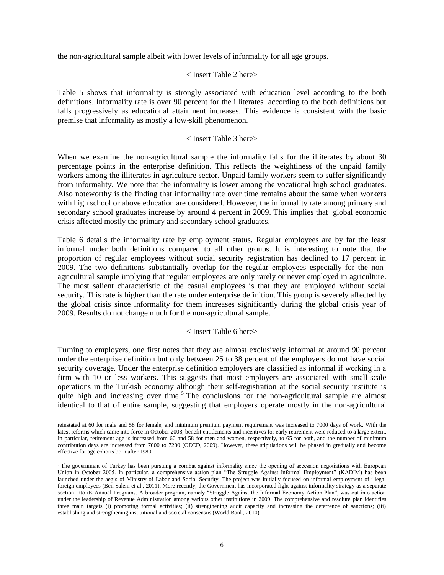the non-agricultural sample albeit with lower levels of informality for all age groups.

#### < Insert Table 2 here>

Table 5 shows that informality is strongly associated with education level according to the both definitions. Informality rate is over 90 percent for the illiterates according to the both definitions but falls progressively as educational attainment increases. This evidence is consistent with the basic premise that informality as mostly a low-skill phenomenon.

#### < Insert Table 3 here>

When we examine the non-agricultural sample the informality falls for the illiterates by about 30 percentage points in the enterprise definition. This reflects the weightiness of the unpaid family workers among the illiterates in agriculture sector. Unpaid family workers seem to suffer significantly from informality. We note that the informality is lower among the vocational high school graduates. Also noteworthy is the finding that informality rate over time remains about the same when workers with high school or above education are considered. However, the informality rate among primary and secondary school graduates increase by around 4 percent in 2009. This implies that global economic crisis affected mostly the primary and secondary school graduates.

Table 6 details the informality rate by employment status. Regular employees are by far the least informal under both definitions compared to all other groups. It is interesting to note that the proportion of regular employees without social security registration has declined to 17 percent in 2009. The two definitions substantially overlap for the regular employees especially for the nonagricultural sample implying that regular employees are only rarely or never employed in agriculture. The most salient characteristic of the casual employees is that they are employed without social security. This rate is higher than the rate under enterprise definition. This group is severely affected by the global crisis since informality for them increases significantly during the global crisis year of 2009. Results do not change much for the non-agricultural sample.

#### < Insert Table 6 here>

Turning to employers, one first notes that they are almost exclusively informal at around 90 percent under the enterprise definition but only between 25 to 38 percent of the employers do not have social security coverage. Under the enterprise definition employers are classified as informal if working in a firm with 10 or less workers. This suggests that most employers are associated with small-scale operations in the Turkish economy although their self-registration at the social security institute is quite high and increasing over time.<sup>5</sup> The conclusions for the non-agricultural sample are almost identical to that of entire sample, suggesting that employers operate mostly in the non-agricultural

1

reinstated at 60 for male and 58 for female, and minimum premium payment requirement was increased to 7000 days of work. With the latest reforms which came into force in October 2008, benefit entitlements and incentives for early retirement were reduced to a large extent. In particular, retirement age is increased from 60 and 58 for men and women, respectively, to 65 for both, and the number of minimum contribution days are increased from 7000 to 7200 (OECD, 2009). However, these stipulations will be phased in gradually and become effective for age cohorts born after 1980.

 $<sup>5</sup>$  The government of Turkey has been pursuing a combat against informality since the opening of accession negotiations with European</sup> Union in October 2005. In particular, a comprehensive action plan "The Struggle Against Informal Employment" (KADIM) has been launched under the aegis of Ministry of Labor and Social Security. The project was initially focused on informal employment of illegal foreign employees (Ben Salem et al., 2011). More recently, the Government has incorporated fight against informality strategy as a separate section into its Annual Programs. A broader program, namely "Struggle Against the Informal Economy Action Plan", was out into action under the leadership of Revenue Administration among various other institutions in 2009. The comprehensive and resolute plan identifies three main targets (i) promoting formal activities; (ii) strengthening audit capacity and increasing the deterrence of sanctions; (iii) establishing and strengthening institutional and societal consensus (World Bank, 2010).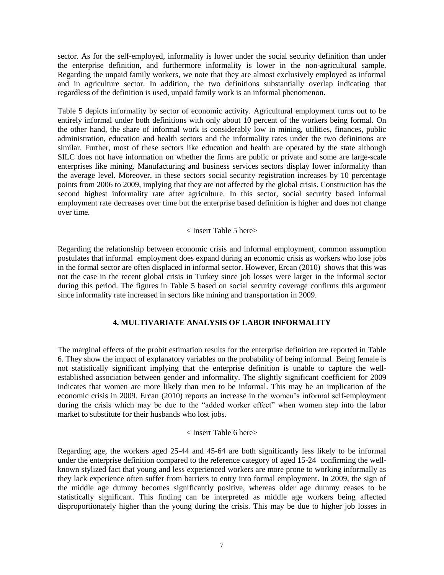sector. As for the self-employed, informality is lower under the social security definition than under the enterprise definition, and furthermore informality is lower in the non-agricultural sample. Regarding the unpaid family workers, we note that they are almost exclusively employed as informal and in agriculture sector. In addition, the two definitions substantially overlap indicating that regardless of the definition is used, unpaid family work is an informal phenomenon.

Table 5 depicts informality by sector of economic activity. Agricultural employment turns out to be entirely informal under both definitions with only about 10 percent of the workers being formal. On the other hand, the share of informal work is considerably low in mining, utilities, finances, public administration, education and health sectors and the informality rates under the two definitions are similar. Further, most of these sectors like education and health are operated by the state although SILC does not have information on whether the firms are public or private and some are large-scale enterprises like mining. Manufacturing and business services sectors display lower informality than the average level. Moreover, in these sectors social security registration increases by 10 percentage points from 2006 to 2009, implying that they are not affected by the global crisis. Construction has the second highest informality rate after agriculture. In this sector, social security based informal employment rate decreases over time but the enterprise based definition is higher and does not change over time.

< Insert Table 5 here>

Regarding the relationship between economic crisis and informal employment, common assumption postulates that informal employment does expand during an economic crisis as workers who lose jobs in the formal sector are often displaced in informal sector. However, Ercan (2010) shows that this was not the case in the recent global crisis in Turkey since job losses were larger in the informal sector during this period. The figures in Table 5 based on social security coverage confirms this argument since informality rate increased in sectors like mining and transportation in 2009.

### **4. MULTIVARIATE ANALYSIS OF LABOR INFORMALITY**

The marginal effects of the probit estimation results for the enterprise definition are reported in Table 6. They show the impact of explanatory variables on the probability of being informal. Being female is not statistically significant implying that the enterprise definition is unable to capture the wellestablished association between gender and informality. The slightly significant coefficient for 2009 indicates that women are more likely than men to be informal. This may be an implication of the economic crisis in 2009. Ercan (2010) reports an increase in the women's informal self-employment during the crisis which may be due to the "added worker effect" when women step into the labor market to substitute for their husbands who lost jobs.

#### < Insert Table 6 here>

Regarding age, the workers aged 25-44 and 45-64 are both significantly less likely to be informal under the enterprise definition compared to the reference category of aged 15-24 confirming the wellknown stylized fact that young and less experienced workers are more prone to working informally as they lack experience often suffer from barriers to entry into formal employment. In 2009, the sign of the middle age dummy becomes significantly positive, whereas older age dummy ceases to be statistically significant. This finding can be interpreted as middle age workers being affected disproportionately higher than the young during the crisis. This may be due to higher job losses in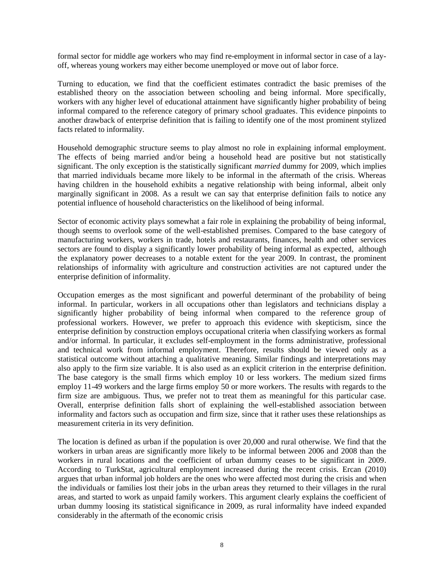formal sector for middle age workers who may find re-employment in informal sector in case of a layoff, whereas young workers may either become unemployed or move out of labor force.

Turning to education, we find that the coefficient estimates contradict the basic premises of the established theory on the association between schooling and being informal. More specifically, workers with any higher level of educational attainment have significantly higher probability of being informal compared to the reference category of primary school graduates. This evidence pinpoints to another drawback of enterprise definition that is failing to identify one of the most prominent stylized facts related to informality.

Household demographic structure seems to play almost no role in explaining informal employment. The effects of being married and/or being a household head are positive but not statistically significant. The only exception is the statistically significant *married* dummy for 2009, which implies that married individuals became more likely to be informal in the aftermath of the crisis. Whereas having children in the household exhibits a negative relationship with being informal, albeit only marginally significant in 2008. As a result we can say that enterprise definition fails to notice any potential influence of household characteristics on the likelihood of being informal.

Sector of economic activity plays somewhat a fair role in explaining the probability of being informal, though seems to overlook some of the well-established premises. Compared to the base category of manufacturing workers, workers in trade, hotels and restaurants, finances, health and other services sectors are found to display a significantly lower probability of being informal as expected, although the explanatory power decreases to a notable extent for the year 2009. In contrast, the prominent relationships of informality with agriculture and construction activities are not captured under the enterprise definition of informality.

Occupation emerges as the most significant and powerful determinant of the probability of being informal. In particular, workers in all occupations other than legislators and technicians display a significantly higher probability of being informal when compared to the reference group of professional workers. However, we prefer to approach this evidence with skepticism, since the enterprise definition by construction employs occupational criteria when classifying workers as formal and/or informal. In particular, it excludes self-employment in the forms administrative, professional and technical work from informal employment. Therefore, results should be viewed only as a statistical outcome without attaching a qualitative meaning. Similar findings and interpretations may also apply to the firm size variable. It is also used as an explicit criterion in the enterprise definition. The base category is the small firms which employ 10 or less workers. The medium sized firms employ 11-49 workers and the large firms employ 50 or more workers. The results with regards to the firm size are ambiguous. Thus, we prefer not to treat them as meaningful for this particular case. Overall, enterprise definition falls short of explaining the well-established association between informality and factors such as occupation and firm size, since that it rather uses these relationships as measurement criteria in its very definition.

The location is defined as urban if the population is over 20,000 and rural otherwise. We find that the workers in urban areas are significantly more likely to be informal between 2006 and 2008 than the workers in rural locations and the coefficient of urban dummy ceases to be significant in 2009. According to TurkStat, agricultural employment increased during the recent crisis. Ercan (2010) argues that urban informal job holders are the ones who were affected most during the crisis and when the individuals or families lost their jobs in the urban areas they returned to their villages in the rural areas, and started to work as unpaid family workers. This argument clearly explains the coefficient of urban dummy loosing its statistical significance in 2009, as rural informality have indeed expanded considerably in the aftermath of the economic crisis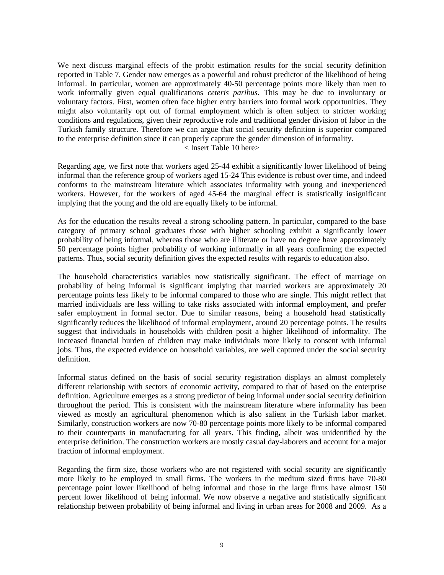We next discuss marginal effects of the probit estimation results for the social security definition reported in Table 7. Gender now emerges as a powerful and robust predictor of the likelihood of being informal. In particular, women are approximately 40-50 percentage points more likely than men to work informally given equal qualifications *ceteris paribus.* This may be due to involuntary or voluntary factors. First, women often face higher entry barriers into formal work opportunities. They might also voluntarily opt out of formal employment which is often subject to stricter working conditions and regulations, given their reproductive role and traditional gender division of labor in the Turkish family structure. Therefore we can argue that social security definition is superior compared to the enterprise definition since it can properly capture the gender dimension of informality.

< Insert Table 10 here>

Regarding age, we first note that workers aged 25-44 exhibit a significantly lower likelihood of being informal than the reference group of workers aged 15-24 This evidence is robust over time, and indeed conforms to the mainstream literature which associates informality with young and inexperienced workers. However, for the workers of aged 45-64 the marginal effect is statistically insignificant implying that the young and the old are equally likely to be informal.

As for the education the results reveal a strong schooling pattern. In particular, compared to the base category of primary school graduates those with higher schooling exhibit a significantly lower probability of being informal, whereas those who are illiterate or have no degree have approximately 50 percentage points higher probability of working informally in all years confirming the expected patterns. Thus, social security definition gives the expected results with regards to education also.

The household characteristics variables now statistically significant. The effect of marriage on probability of being informal is significant implying that married workers are approximately 20 percentage points less likely to be informal compared to those who are single. This might reflect that married individuals are less willing to take risks associated with informal employment, and prefer safer employment in formal sector. Due to similar reasons, being a household head statistically significantly reduces the likelihood of informal employment, around 20 percentage points. The results suggest that individuals in households with children posit a higher likelihood of informality. The increased financial burden of children may make individuals more likely to consent with informal jobs. Thus, the expected evidence on household variables, are well captured under the social security definition.

Informal status defined on the basis of social security registration displays an almost completely different relationship with sectors of economic activity, compared to that of based on the enterprise definition. Agriculture emerges as a strong predictor of being informal under social security definition throughout the period. This is consistent with the mainstream literature where informality has been viewed as mostly an agricultural phenomenon which is also salient in the Turkish labor market. Similarly, construction workers are now 70-80 percentage points more likely to be informal compared to their counterparts in manufacturing for all years. This finding, albeit was unidentified by the enterprise definition. The construction workers are mostly casual day-laborers and account for a major fraction of informal employment.

Regarding the firm size, those workers who are not registered with social security are significantly more likely to be employed in small firms. The workers in the medium sized firms have 70-80 percentage point lower likelihood of being informal and those in the large firms have almost 150 percent lower likelihood of being informal. We now observe a negative and statistically significant relationship between probability of being informal and living in urban areas for 2008 and 2009. As a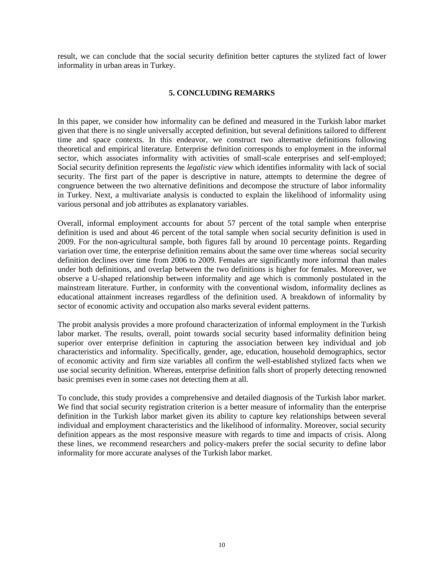result, we can conclude that the social security definition better captures the stylized fact of lower informality in urban areas in Turkey.

#### **5. CONCLUDING REMARKS**

In this paper, we consider how informality can be defined and measured in the Turkish labor market given that there is no single universally accepted definition, but several definitions tailored to different time and space contexts. In this endeavor, we construct two alternative definitions following theoretical and empirical literature. Enterprise definition corresponds to employment in the informal sector, which associates informality with activities of small-scale enterprises and self-employed; Social security definition represents the *legalistic view* which identifies informality with lack of social security. The first part of the paper is descriptive in nature, attempts to determine the degree of congruence between the two alternative definitions and decompose the structure of labor informality in Turkey. Next, a multivariate analysis is conducted to explain the likelihood of informality using various personal and job attributes as explanatory variables.

Overall, informal employment accounts for about 57 percent of the total sample when enterprise definition is used and about 46 percent of the total sample when social security definition is used in 2009. For the non-agricultural sample, both figures fall by around 10 percentage points. Regarding variation over time, the enterprise definition remains about the same over time whereas social security definition declines over time from 2006 to 2009. Females are significantly more informal than males under both definitions, and overlap between the two definitions is higher for females. Moreover, we observe a U-shaped relationship between informality and age which is commonly postulated in the mainstream literature. Further, in conformity with the conventional wisdom, informality declines as educational attainment increases regardless of the definition used. A breakdown of informality by sector of economic activity and occupation also marks several evident patterns.

The probit analysis provides a more profound characterization of informal employment in the Turkish labor market. The results, overall, point towards social security based informality definition being superior over enterprise definition in capturing the association between key individual and job characteristics and informality. Specifically, gender, age, education, household demographics, sector of economic activity and firm size variables all confirm the well-established stylized facts when we use social security definition. Whereas, enterprise definition falls short of properly detecting renowned basic premises even in some cases not detecting them at all.

To conclude, this study provides a comprehensive and detailed diagnosis of the Turkish labor market. We find that social security registration criterion is a better measure of informality than the enterprise definition in the Turkish labor market given its ability to capture key relationships between several individual and employment characteristics and the likelihood of informality. Moreover, social security definition appears as the most responsive measure with regards to time and impacts of crisis. Along these lines, we recommend researchers and policy-makers prefer the social security to define labor informality for more accurate analyses of the Turkish labor market.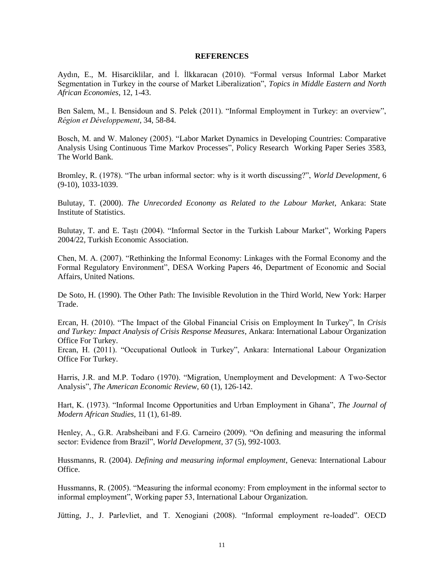#### **REFERENCES**

Aydın, E., M. Hisarciklilar, and İ. İlkkaracan (2010). "Formal versus Informal Labor Market Segmentation in Turkey in the course of Market Liberalization", *Topics in Middle Eastern and North African Economies*, 12, 1-43.

Ben Salem, M., I. Bensidoun and S. Pelek (2011). "Informal Employment in Turkey: an overview", *Région et Développement*, 34, 58-84.

Bosch, M. and W. Maloney (2005). ["Labor Market Dynamics in Developing Countries: Comparative](http://ideas.repec.org/p/wbk/wbrwps/3583.html)  [Analysis Using Continuous Time Markov Processes"](http://ideas.repec.org/p/wbk/wbrwps/3583.html), Policy Research Working Paper Series 3583, The World Bank.

Bromley, R. (1978). "The urban informal sector: why is it worth discussing?", *World Development,* 6 (9-10), 1033-1039.

Bulutay, T. (2000). *The Unrecorded Economy as Related to the Labour Market*, Ankara: State Institute of Statistics.

Bulutay, T. and E. Taştı (2004). "Informal Sector in the Turkish Labour Market", Working Papers 2004/22, Turkish Economic Association.

Chen, M. A. (2007). "Rethinking the Informal Economy: Linkages with the Formal Economy and the Formal Regulatory Environment", DESA Working Papers 46, Department of Economic and Social Affairs, United Nations.

De Soto, H. (1990). The Other Path: The Invisible Revolution in the Third World, New York: Harper Trade.

Ercan, H. (2010). "The Impact of the Global Financial Crisis on Employment In Turkey", In *Crisis and Turkey: Impact Analysis of Crisis Response Measures*, Ankara: International Labour Organization Office For Turkey.

Ercan, H. (2011). "Occupational Outlook in Turkey", Ankara: International Labour Organization Office For Turkey.

Harris, J.R. and M.P. Todaro (1970). "Migration, Unemployment and Development: A Two-Sector Analysis", *The American Economic Review*, 60 (1), 126-142.

Hart, K. (1973). "Informal Income Opportunities and Urban Employment in Ghana", *The Journal of Modern African Studies*, 11 (1), 61-89.

Henley, A., G.R. Arabsheibani and F.G. Carneiro (2009). "On defining and measuring the informal sector: Evidence from Brazil", *World Development*, 37 (5), 992-1003.

Hussmanns, R. (2004). *Defining and measuring informal employment*, Geneva: International Labour Office.

Hussmanns, R. (2005). "Measuring the informal economy: From employment in the informal sector to informal employment", Working paper 53, International Labour Organization.

Jütting, J., J. Parlevliet, and T. Xenogiani (2008). "Informal employment re-loaded". OECD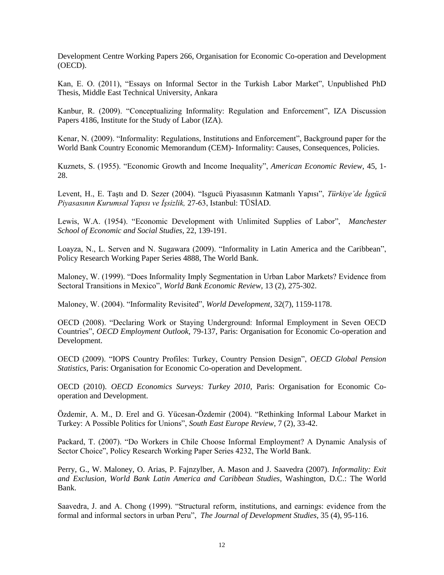Development Centre Working Papers 266, Organisation for Economic Co-operation and Development (OECD).

Kan, E. O. (2011), "Essays on Informal Sector in the Turkish Labor Market", Unpublished PhD Thesis, Middle East Technical University, Ankara

Kanbur, R. (2009). "Conceptualizing Informality: Regulation and Enforcement", IZA Discussion Papers 4186, Institute for the Study of Labor (IZA).

Kenar, N. (2009). "Informality: Regulations, Institutions and Enforcement", Background paper for the World Bank Country Economic Memorandum (CEM)- Informality: Causes, Consequences, Policies.

Kuznets, S. (1955). "Economic Growth and Income Inequality", *American Economic Review*, 45, 1- 28.

Levent, H., E. Taştı and D. Sezer (2004). "Isgucü Piyasasının Katmanlı Yapısı", *Türkiye'de İşgücü Piyasasının Kurumsal Yapısı ve İşsizlik, 27-63, Istanbul: TÜSİAD.* 

Lewis, W.A. (1954). "Economic Development with Unlimited Supplies of Labor", *Manchester School of Economic and Social Studies*, 22, 139-191.

Loayza, N., L. Serven and N. Sugawara (2009). ["Informality in Latin America and the Caribbean"](http://ideas.repec.org/p/wbk/wbrwps/4888.html), [Policy Research Working Paper Series](http://ideas.repec.org/s/wbk/wbrwps.html) 4888, The World Bank.

Maloney, W. (1999). "Does Informality Imply Segmentation in Urban Labor Markets? Evidence from Sectoral Transitions in Mexico", *World Bank Economic Review*, 13 (2), 275-302.

Maloney, W. (2004). "Informality Revisited", *World Development*, 32(7), 1159-1178.

OECD (2008). "Declaring Work or Staying Underground: Informal Employment in Seven OECD Countries", *OECD Employment Outlook,* 79-137, Paris: Organisation for Economic Co-operation and Development.

OECD (2009). "IOPS Country Profiles: Turkey, Country Pension Design", *OECD Global Pension Statistics*, Paris: Organisation for Economic Co-operation and Development.

OECD (2010). *OECD Economics Surveys: Turkey 2010*, Paris: Organisation for Economic Cooperation and Development.

Özdemir, A. M., D. Erel and G. Yücesan-Özdemir (2004). "Rethinking Informal Labour Market in Turkey: A Possible Politics for Unions", *South East Europe Review*, 7 (2), 33-42.

Packard, T. (2007). "Do Workers in Chile Choose Informal Employment? A Dynamic Analysis of Sector Choice", Policy Research Working Paper Series 4232, The World Bank.

Perry, G., W. Maloney, O. Arias, P. Fajnzylber, A. Mason and J. Saavedra (2007). *Informality: Exit and Exclusion, World Bank Latin America and Caribbean Studies*, Washington, D.C.: The World Bank.

Saavedra, J. and A. Chong (1999). "Structural reform, institutions, and earnings: evidence from the formal and informal sectors in urban Peru", *The Journal of Development Studies*, 35 (4), 95-116.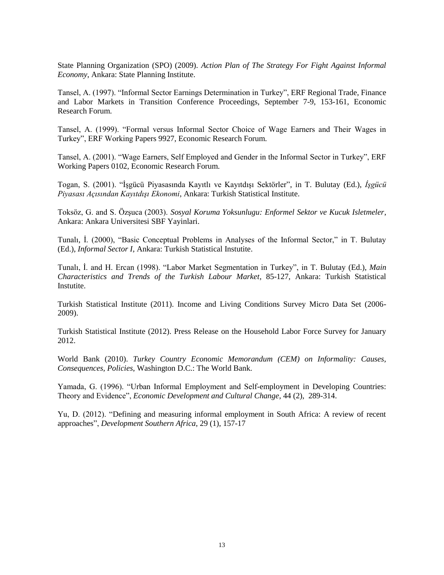State Planning Organization (SPO) (2009). *Action Plan of The Strategy For Fight Against Informal Economy*, Ankara: State Planning Institute.

Tansel, A. (1997). "Informal Sector Earnings Determination in Turkey", ERF Regional Trade, Finance and Labor Markets in Transition Conference Proceedings, September 7-9, 153-161, Economic Research Forum.

Tansel, A. (1999). "Formal versus Informal Sector Choice of Wage Earners and Their Wages in Turkey", ERF Working Papers 9927, Economic Research Forum.

Tansel, A. (2001). "Wage Earners, Self Employed and Gender in the Informal Sector in Turkey", ERF Working Papers 0102, Economic Research Forum.

Togan, S. (2001). "İsgücü Piyasasında Kayıtlı ve Kayıtdışı Sektörler", in T. Bulutay (Ed.), *İsgücü Pi asası Açısın an Ka ıt ı ı E onomi*, Ankara: Turkish Statistical Institute.

Toksöz, G. and S. Özşuca (2003). *Sosyal Koruma Yoksunlugu: Enformel Sektor ve Kucuk Isletmeler*, Ankara: Ankara Universitesi SBF Yayinlari.

Tunalı, İ. (2000), "Basic Conceptual Problems in Analyses of the Informal Sector," in T. Bulutay (Ed.), *Informal Sector I*, Ankara: Turkish Statistical Instutite.

Tunalı, İ. and H. Ercan (1998). "Labor Market Segmentation in Turkey", in T. Bulutay (Ed.), Main *Characteristics and Trends of the Turkish Labour Market*, 85-127, Ankara: Turkish Statistical Instutite.

Turkish Statistical Institute (2011). Income and Living Conditions Survey Micro Data Set (2006- 2009).

Turkish Statistical Institute (2012). Press Release on the Household Labor Force Survey for January 2012.

World Bank (2010). *Turkey Country Economic Memorandum (CEM) on Informality: Causes, Consequences, Policies*, Washington D.C.: The World Bank.

Yamada, G. (1996). "Urban Informal Employment and Self-employment in Developing Countries: Theory and Evidence", *Economic Development and Cultural Change*, 44 (2), 289-314.

 u, D. (2012). ["Defining and measuring informal employment in South Africa: A review of recent](http://ideas.repec.org/p/sza/wpaper/wpapers108.html)  [approaches"](http://ideas.repec.org/p/sza/wpaper/wpapers108.html), *Development Southern Africa*, 29 (1), 157-17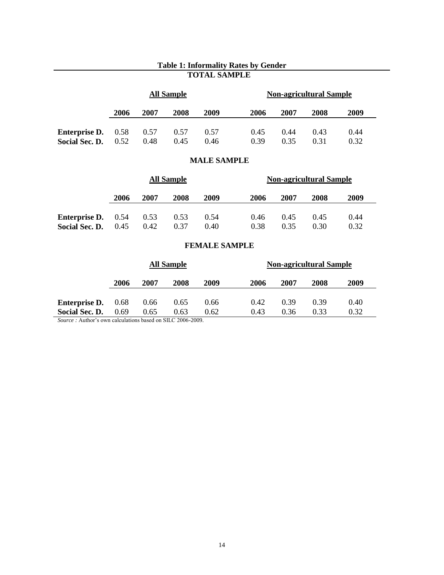## **Table 1: Informality Rates by Gender TOTAL SAMPLE All Sample Non-agricultural Sample 2006 2007 2008 2009 2006 2007 2008 2009 Enterprise D.** 0.58 0.57 0.57 0.57 0.45 0.44 0.43 0.44 **Social Sec. D.** 0.52 0.48 0.45 0.46 0.39 0.35 0.31 0.32

#### **MALE SAMPLE**

|                             |      |      | <b>All Sample</b> |      | <b>Non-agricultural Sample</b> |      |      |      |
|-----------------------------|------|------|-------------------|------|--------------------------------|------|------|------|
|                             | 2006 | 2007 | 2008              | 2009 | 2006                           | 2007 | 2008 | 2009 |
| <b>Enterprise D.</b> $0.54$ |      | 0.53 | 0.53              | 0.54 | 0.46                           | 0.45 | 0.45 | 0.44 |
| Social Sec. D.              | 0.45 | 0.42 | 0.37              | 0.40 | 0.38                           | 0.35 | 0.30 | 0.32 |

#### **FEMALE SAMPLE**

|                           |      |      | All Sample |      | <b>Non-agricultural Sample</b> |      |      |      |
|---------------------------|------|------|------------|------|--------------------------------|------|------|------|
|                           | 2006 | 2007 | 2008       | 2009 | 2006                           | 2007 | 2008 | 2009 |
| <b>Enterprise D.</b> 0.68 |      | 0.66 | 0.65       | 0.66 | 0.42                           | 0.39 | 0.39 | 0.40 |
| Social Sec. D.            | 0.69 | 0.65 | 0.63       | 0.62 | 0.43                           | 0.36 | 0.33 | 0.32 |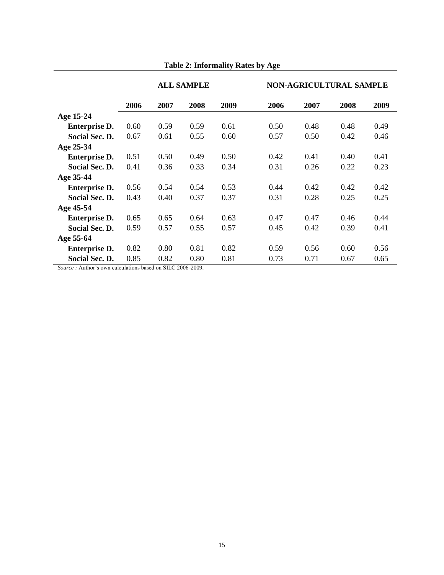|                       |      |      | <b>ALL SAMPLE</b> |      | NON-AGRICULTURAL SAMPLE |      |      |      |  |  |
|-----------------------|------|------|-------------------|------|-------------------------|------|------|------|--|--|
|                       | 2006 | 2007 | 2008              | 2009 | 2006                    | 2007 | 2008 | 2009 |  |  |
| Age 15-24             |      |      |                   |      |                         |      |      |      |  |  |
| <b>Enterprise D.</b>  | 0.60 | 0.59 | 0.59              | 0.61 | 0.50                    | 0.48 | 0.48 | 0.49 |  |  |
| Social Sec. D.        | 0.67 | 0.61 | 0.55              | 0.60 | 0.57                    | 0.50 | 0.42 | 0.46 |  |  |
| Age 25-34             |      |      |                   |      |                         |      |      |      |  |  |
| <b>Enterprise D.</b>  | 0.51 | 0.50 | 0.49              | 0.50 | 0.42                    | 0.41 | 0.40 | 0.41 |  |  |
| <b>Social Sec. D.</b> | 0.41 | 0.36 | 0.33              | 0.34 | 0.31                    | 0.26 | 0.22 | 0.23 |  |  |
| Age 35-44             |      |      |                   |      |                         |      |      |      |  |  |
| <b>Enterprise D.</b>  | 0.56 | 0.54 | 0.54              | 0.53 | 0.44                    | 0.42 | 0.42 | 0.42 |  |  |
| <b>Social Sec. D.</b> | 0.43 | 0.40 | 0.37              | 0.37 | 0.31                    | 0.28 | 0.25 | 0.25 |  |  |
| Age 45-54             |      |      |                   |      |                         |      |      |      |  |  |
| <b>Enterprise D.</b>  | 0.65 | 0.65 | 0.64              | 0.63 | 0.47                    | 0.47 | 0.46 | 0.44 |  |  |
| Social Sec. D.        | 0.59 | 0.57 | 0.55              | 0.57 | 0.45                    | 0.42 | 0.39 | 0.41 |  |  |
| Age 55-64             |      |      |                   |      |                         |      |      |      |  |  |
| <b>Enterprise D.</b>  | 0.82 | 0.80 | 0.81              | 0.82 | 0.59                    | 0.56 | 0.60 | 0.56 |  |  |
| <b>Social Sec. D.</b> | 0.85 | 0.82 | 0.80              | 0.81 | 0.73                    | 0.71 | 0.67 | 0.65 |  |  |

**Table 2: Informality Rates by Age**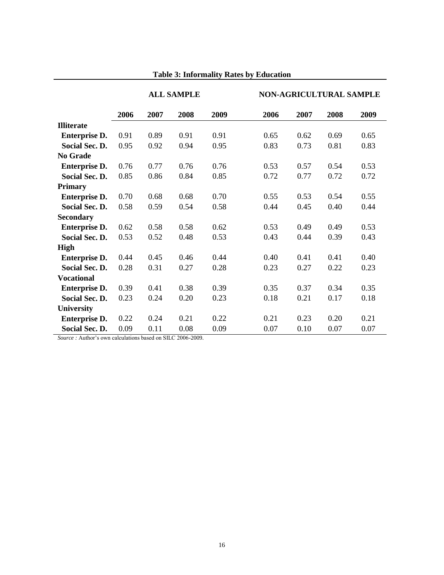|                       |      |      | <b>ALL SAMPLE</b> |      | <b>NON-AGRICULTURAL SAMPLE</b> |      |      |      |  |
|-----------------------|------|------|-------------------|------|--------------------------------|------|------|------|--|
|                       | 2006 | 2007 | 2008              | 2009 | 2006                           | 2007 | 2008 | 2009 |  |
| <b>Illiterate</b>     |      |      |                   |      |                                |      |      |      |  |
| <b>Enterprise D.</b>  | 0.91 | 0.89 | 0.91              | 0.91 | 0.65                           | 0.62 | 0.69 | 0.65 |  |
| <b>Social Sec. D.</b> | 0.95 | 0.92 | 0.94              | 0.95 | 0.83                           | 0.73 | 0.81 | 0.83 |  |
| <b>No Grade</b>       |      |      |                   |      |                                |      |      |      |  |
| <b>Enterprise D.</b>  | 0.76 | 0.77 | 0.76              | 0.76 | 0.53                           | 0.57 | 0.54 | 0.53 |  |
| <b>Social Sec. D.</b> | 0.85 | 0.86 | 0.84              | 0.85 | 0.72                           | 0.77 | 0.72 | 0.72 |  |
| <b>Primary</b>        |      |      |                   |      |                                |      |      |      |  |
| <b>Enterprise D.</b>  | 0.70 | 0.68 | 0.68              | 0.70 | 0.55                           | 0.53 | 0.54 | 0.55 |  |
| <b>Social Sec. D.</b> | 0.58 | 0.59 | 0.54              | 0.58 | 0.44                           | 0.45 | 0.40 | 0.44 |  |
| <b>Secondary</b>      |      |      |                   |      |                                |      |      |      |  |
| <b>Enterprise D.</b>  | 0.62 | 0.58 | 0.58              | 0.62 | 0.53                           | 0.49 | 0.49 | 0.53 |  |
| <b>Social Sec. D.</b> | 0.53 | 0.52 | 0.48              | 0.53 | 0.43                           | 0.44 | 0.39 | 0.43 |  |
| <b>High</b>           |      |      |                   |      |                                |      |      |      |  |
| <b>Enterprise D.</b>  | 0.44 | 0.45 | 0.46              | 0.44 | 0.40                           | 0.41 | 0.41 | 0.40 |  |
| <b>Social Sec. D.</b> | 0.28 | 0.31 | 0.27              | 0.28 | 0.23                           | 0.27 | 0.22 | 0.23 |  |
| <b>Vocational</b>     |      |      |                   |      |                                |      |      |      |  |
| <b>Enterprise D.</b>  | 0.39 | 0.41 | 0.38              | 0.39 | 0.35                           | 0.37 | 0.34 | 0.35 |  |
| <b>Social Sec. D.</b> | 0.23 | 0.24 | 0.20              | 0.23 | 0.18                           | 0.21 | 0.17 | 0.18 |  |
| <b>University</b>     |      |      |                   |      |                                |      |      |      |  |
| <b>Enterprise D.</b>  | 0.22 | 0.24 | 0.21              | 0.22 | 0.21                           | 0.23 | 0.20 | 0.21 |  |
| <b>Social Sec. D.</b> | 0.09 | 0.11 | 0.08              | 0.09 | 0.07                           | 0.10 | 0.07 | 0.07 |  |

### **Table 3: Informality Rates by Education**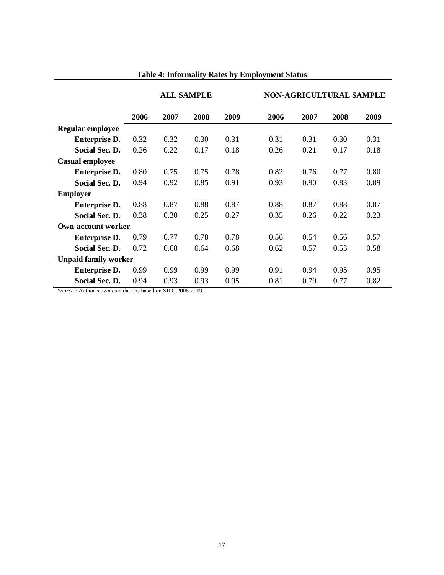|                             |      |      | <b>ALL SAMPLE</b> |      | <b>NON-AGRICULTURAL SAMPLE</b> |      |      |      |  |
|-----------------------------|------|------|-------------------|------|--------------------------------|------|------|------|--|
|                             | 2006 | 2007 | 2008              | 2009 | 2006                           | 2007 | 2008 | 2009 |  |
| Regular employee            |      |      |                   |      |                                |      |      |      |  |
| <b>Enterprise D.</b>        | 0.32 | 0.32 | 0.30              | 0.31 | 0.31                           | 0.31 | 0.30 | 0.31 |  |
| <b>Social Sec. D.</b>       | 0.26 | 0.22 | 0.17              | 0.18 | 0.26                           | 0.21 | 0.17 | 0.18 |  |
| <b>Casual employee</b>      |      |      |                   |      |                                |      |      |      |  |
| <b>Enterprise D.</b>        | 0.80 | 0.75 | 0.75              | 0.78 | 0.82                           | 0.76 | 0.77 | 0.80 |  |
| <b>Social Sec. D.</b>       | 0.94 | 0.92 | 0.85              | 0.91 | 0.93                           | 0.90 | 0.83 | 0.89 |  |
| <b>Employer</b>             |      |      |                   |      |                                |      |      |      |  |
| <b>Enterprise D.</b>        | 0.88 | 0.87 | 0.88              | 0.87 | 0.88                           | 0.87 | 0.88 | 0.87 |  |
| Social Sec. D.              | 0.38 | 0.30 | 0.25              | 0.27 | 0.35                           | 0.26 | 0.22 | 0.23 |  |
| <b>Own-account worker</b>   |      |      |                   |      |                                |      |      |      |  |
| <b>Enterprise D.</b>        | 0.79 | 0.77 | 0.78              | 0.78 | 0.56                           | 0.54 | 0.56 | 0.57 |  |
| Social Sec. D.              | 0.72 | 0.68 | 0.64              | 0.68 | 0.62                           | 0.57 | 0.53 | 0.58 |  |
| <b>Unpaid family worker</b> |      |      |                   |      |                                |      |      |      |  |
| <b>Enterprise D.</b>        | 0.99 | 0.99 | 0.99              | 0.99 | 0.91                           | 0.94 | 0.95 | 0.95 |  |
| <b>Social Sec. D.</b>       | 0.94 | 0.93 | 0.93              | 0.95 | 0.81                           | 0.79 | 0.77 | 0.82 |  |

### **Table 4: Informality Rates by Employment Status**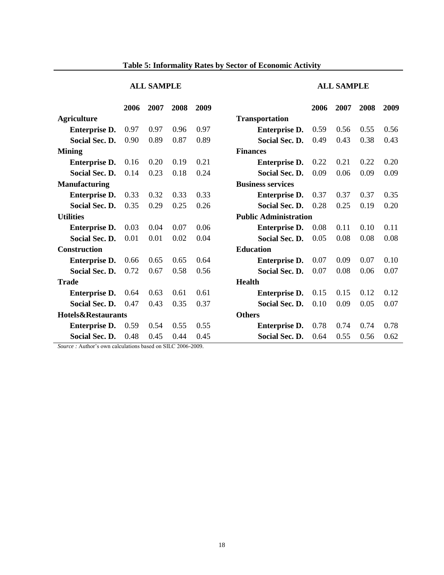### **ALL SAMPLE ALL SAMPLE**

|                               | 2006 | 2007 | 2008 | 2009 |                              | 2006 | 2007 | 2008 | 2009 |
|-------------------------------|------|------|------|------|------------------------------|------|------|------|------|
| <b>Agriculture</b>            |      |      |      |      | <b>Transportation</b>        |      |      |      |      |
| <b>Enterprise D.</b>          | 0.97 | 0.97 | 0.96 | 0.97 | <b>Enterprise D.</b>         | 0.59 | 0.56 | 0.55 | 0.56 |
| <b>Social Sec. D.</b>         | 0.90 | 0.89 | 0.87 | 0.89 | <b>Social Sec. D.</b>        | 0.49 | 0.43 | 0.38 | 0.43 |
| <b>Mining</b>                 |      |      |      |      | <b>Finances</b>              |      |      |      |      |
| <b>Enterprise D.</b>          | 0.16 | 0.20 | 0.19 | 0.21 | <b>Enterprise D.</b>         | 0.22 | 0.21 | 0.22 | 0.20 |
| <b>Social Sec. D.</b>         | 0.14 | 0.23 | 0.18 | 0.24 | Social Sec. D.               | 0.09 | 0.06 | 0.09 | 0.09 |
| <b>Manufacturing</b>          |      |      |      |      | <b>Business services</b>     |      |      |      |      |
| <b>Enterprise D.</b>          | 0.33 | 0.32 | 0.33 | 0.33 | <b>Enterprise D.</b>         | 0.37 | 0.37 | 0.37 | 0.35 |
| <b>Social Sec. D.</b>         | 0.35 | 0.29 | 0.25 | 0.26 | <b>Social Sec. D.</b>        | 0.28 | 0.25 | 0.19 | 0.20 |
| <b>Utilities</b>              |      |      |      |      | <b>Public Administration</b> |      |      |      |      |
| <b>Enterprise D.</b>          | 0.03 | 0.04 | 0.07 | 0.06 | <b>Enterprise D.</b>         | 0.08 | 0.11 | 0.10 | 0.11 |
| <b>Social Sec. D.</b>         | 0.01 | 0.01 | 0.02 | 0.04 | <b>Social Sec. D.</b>        | 0.05 | 0.08 | 0.08 | 0.08 |
| <b>Construction</b>           |      |      |      |      | <b>Education</b>             |      |      |      |      |
| <b>Enterprise D.</b>          | 0.66 | 0.65 | 0.65 | 0.64 | Enterprise D.                | 0.07 | 0.09 | 0.07 | 0.10 |
| <b>Social Sec. D.</b>         | 0.72 | 0.67 | 0.58 | 0.56 | <b>Social Sec. D.</b>        | 0.07 | 0.08 | 0.06 | 0.07 |
| <b>Trade</b>                  |      |      |      |      | <b>Health</b>                |      |      |      |      |
| <b>Enterprise D.</b>          | 0.64 | 0.63 | 0.61 | 0.61 | Enterprise D.                | 0.15 | 0.15 | 0.12 | 0.12 |
| <b>Social Sec. D.</b>         | 0.47 | 0.43 | 0.35 | 0.37 | <b>Social Sec. D.</b>        | 0.10 | 0.09 | 0.05 | 0.07 |
| <b>Hotels&amp;Restaurants</b> |      |      |      |      | <b>Others</b>                |      |      |      |      |
| <b>Enterprise D.</b>          | 0.59 | 0.54 | 0.55 | 0.55 | <b>Enterprise D.</b>         | 0.78 | 0.74 | 0.74 | 0.78 |
| <b>Social Sec. D.</b>         | 0.48 | 0.45 | 0.44 | 0.45 | <b>Social Sec. D.</b>        | 0.64 | 0.55 | 0.56 | 0.62 |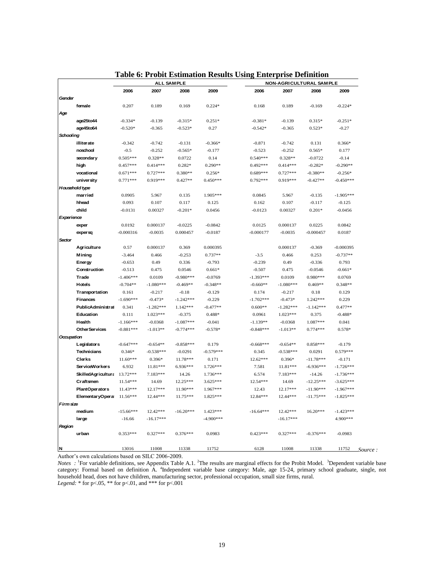|               |                             |             |             |             |             | <b>Table 6: Probit Estimation Results Using Enterprise Definition</b> |             |                         |             |         |
|---------------|-----------------------------|-------------|-------------|-------------|-------------|-----------------------------------------------------------------------|-------------|-------------------------|-------------|---------|
|               |                             |             |             | ALL SAMPLE  |             |                                                                       |             | NON-AGRICULTURAL SAMPLE |             |         |
| Gender        |                             | 2006        | 2007        | 2008        | 2009        | 2006                                                                  | 2007        | 2008                    | 2009        |         |
|               | female                      | 0.207       | 0.189       | 0.169       | $0.224*$    | 0.168                                                                 | 0.189       | $-0.169$                | $-0.224*$   |         |
| Age           |                             |             |             |             |             |                                                                       |             |                         |             |         |
|               | age25to44                   | $-0.334*$   | $-0.139$    | $-0.315*$   | $0.251*$    | $-0.381*$                                                             | $-0.139$    | $0.315*$                | $-0.251*$   |         |
|               | age45to64                   | $-0.520*$   | $-0.365$    | $-0.523*$   | 0.27        | $-0.542*$                                                             | $-0.365$    | $0.523*$                | $-0.27$     |         |
| Schooling     |                             |             |             |             |             |                                                                       |             |                         |             |         |
|               | illiterate                  | $-0.342$    | $-0.742$    | $-0.131$    | $-0.366*$   | $-0.871$                                                              | $-0.742$    | 0.131                   | $0.366*$    |         |
|               | noschool                    | $-0.5$      | $-0.252$    | $-0.565*$   | $-0.177$    | $-0.523$                                                              | $-0.252$    | $0.565*$                | 0.177       |         |
|               | secondary                   | $0.505***$  | $0.328**$   | 0.0722      | 0.14        | $0.540***$                                                            | $0.328**$   | $-0.0722$               | $-0.14$     |         |
|               | high                        | $0.457***$  | $0.414***$  | $0.282*$    | $0.290**$   | $0.492***$                                                            | $0.414***$  | $-0.282*$               | $-0.290**$  |         |
|               | vocational                  | $0.671***$  | $0.727***$  | $0.380**$   | $0.256*$    | $0.689***$                                                            | $0.727***$  | $-0.380**$              | $-0.256*$   |         |
|               | university                  | $0.771***$  | $0.919***$  | $0.427**$   | $0.450***$  | $0.792***$                                                            | $0.919***$  | $-0.427**$              | $-0.450***$ |         |
|               | Household type              |             |             |             |             |                                                                       |             |                         |             |         |
|               | married                     | 0.0905      | 5.967       | 0.135       | 1.905***    | 0.0845                                                                | 5.967       | $-0.135$                | $-1.905***$ |         |
|               | hhead                       | 0.093       | 0.107       | 0.117       | 0.125       | 0.162                                                                 | 0.107       | $-0.117$                | $-0.125$    |         |
|               | child                       | $-0.0131$   | 0.00327     | $-0.201*$   | 0.0456      | $-0.0123$                                                             | 0.00327     | $0.201*$                | $-0.0456$   |         |
| Experience    |                             |             |             |             |             |                                                                       |             |                         |             |         |
|               | exper                       | 0.0192      | 0.000137    | $-0.0225$   | $-0.0842$   | 0.0125                                                                | 0.000137    | 0.0225                  | 0.0842      |         |
|               | expersq                     | $-0.000316$ | $-0.0035$   | 0.000457    | $-0.0187$   | $-0.000177$                                                           | $-0.0035$   | $-0.000457$             | 0.0187      |         |
| <b>Sector</b> |                             |             |             |             |             |                                                                       |             |                         |             |         |
|               | Agriculture                 | 0.57        | 0.000137    | 0.369       | 0.000395    |                                                                       | 0.000137    | $-0.369$                | $-0.000395$ |         |
|               | <b>Mining</b>               | $-3.464$    | 0.466       | $-0.253$    | $0.737**$   | $-3.5$                                                                | 0.466       | 0.253                   | $-0.737**$  |         |
|               | Energy                      | $-0.653$    | 0.49        | 0.336       | $-0.793$    | $-0.239$                                                              | 0.49        | $-0.336$                | 0.793       |         |
|               | Construction                | $-0.513$    | 0.475       | 0.0546      | $0.661*$    | $-0.507$                                                              | 0.475       | $-0.0546$               | $-0.661*$   |         |
|               | Trade                       | $-1.406***$ | 0.0109      | $-0.980***$ | $-0.0769$   | $-1.393***$                                                           | 0.0109      | $0.980***$              | 0.0769      |         |
|               | Hotels                      | $-0.704**$  | $-1.080***$ | $-0.469**$  | $-0.348**$  | $-0.660**$                                                            | $-1.080***$ | $0.469**$               | $0.348**$   |         |
|               | Transportation              | 0.161       | $-0.217$    | $-0.18$     | $-0.129$    | 0.174                                                                 | $-0.217$    | 0.18                    | 0.129       |         |
|               | <b>Finances</b>             | $-1.690***$ | $-0.473*$   | $-1.242***$ | $-0.229$    | $-1.702***$                                                           | $-0.473*$   | 1.242***                | 0.229       |         |
|               | PublicAdministrat           | 0.341       | $-1.282***$ | $1.142***$  | $-0.477**$  | $0.600**$                                                             | $-1.282***$ | $-1.142***$             | $0.477**$   |         |
|               | Education                   | 0.111       | $1.023***$  | $-0.375$    | 0.488*      | 0.0961                                                                | $1.023***$  | 0.375                   | $-0.488*$   |         |
|               | Health                      | $-1.166***$ | $-0.0368$   | $-1.087***$ | $-0.041$    | $-1.139**$                                                            | $-0.0368$   | $1.087***$              | 0.041       |         |
|               | Other Services              | $-0.881***$ | $-1.013**$  | $-0.774***$ | $-0.578*$   | $-0.848***$                                                           | $-1.013**$  | $0.774***$              | 0.578*      |         |
| Occupation    |                             |             |             |             |             |                                                                       |             |                         |             |         |
|               | Legislators                 | $-0.647***$ | $-0.654**$  | $-0.858***$ | 0.179       | $-0.668***$                                                           | $-0.654**$  | $0.858***$              | $-0.179$    |         |
|               | Technicians                 | $0.346*$    | $-0.538***$ | $-0.0291$   | $-0.579***$ | 0.345                                                                 | $-0.538***$ | 0.0291                  | $0.579***$  |         |
|               | <b>Clerks</b>               | $11.60***$  | $0.396*$    | $11.78***$  | 0.171       | 12.62***                                                              | $0.396*$    | $-11.78***$             | $-0.171$    |         |
|               | <b>ServiceWorkers</b>       | 6.932       | 11.81***    | 6.936***    | $1.726***$  | 7.581                                                                 | 11.81***    | $-6.936***$             | $-1.726***$ |         |
|               | SkilledAgricultura 13.72*** |             | 7.183***    | 14.26       | $1.736***$  | 6.574                                                                 | 7.183***    | $-14.26$                | $-1.736***$ |         |
|               | Craftsmen                   | $11.54***$  | 14.69       | 12.25***    | $3.625***$  | 12.54 ***                                                             | 14.69       | $-12.25***$             | $-3.625***$ |         |
|               | <b>PlantOperators</b>       | $11.43***$  | $12.17***$  | 11.90***    | 1.967***    | 12.43                                                                 | 12.17***    | $-11.90***$             | $-1.967***$ |         |
|               | ElementaryOpera 11.56***    |             | 12.44***    | 11.75***    | 1.825 ***   | 12.84 ***                                                             | 12.44***    | $-11.75***$             | $-1.825***$ |         |
| Firm size     |                             |             |             |             |             |                                                                       |             |                         |             |         |
|               | medium                      | $-15.66***$ | $12.42***$  | $-16.20***$ | $1.423***$  | $-16.64***$                                                           | 12.42***    | $16.20***$              | $-1.423***$ |         |
|               | large                       | $-16.66$    | $-16.17***$ |             | $-4.900***$ |                                                                       | $-16.17***$ |                         | 4.900***    |         |
| Region        |                             |             |             |             |             |                                                                       |             |                         |             |         |
|               | ur ban                      | $0.353***$  | $0.327***$  | $0.376***$  | 0.0983      | $0.423***$                                                            | $0.327***$  | $-0.376***$             | $-0.0983$   |         |
|               |                             | 13016       | 11008       | 11338       | 11752       | 6128                                                                  | 11008       | 11338                   | 11752       | Source: |

**Table 6: Probit Estimation Results Using Enterprise Definition**

Author's own calculations based on SILC 2006-2009.

*Notes*: <sup>1</sup> For variable definitions, see Appendix Table A.1. <sup>2</sup> The results are marginal effects for the Probit Model. <sup>3</sup> Dependent variable base category: Formal based on definition A. <sup>4</sup>Independent variable base category: Male, age 15-24, primary school graduate, single, not household head, does not have children, manufacturing sector, professional occupation, small size firms, rural. *Legend:* \* for p<.05, \*\* for p<.01, and \*\*\* for p<.001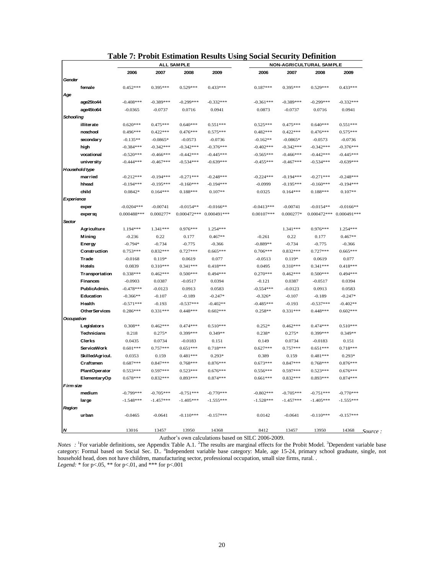|                         |                      |              |             |                    |               | <b>Table 7: Probit Estimation Results Using Social Security Definition</b><br>NON-AGRICULTURAL SAMPLE |             |               |               |         |
|-------------------------|----------------------|--------------|-------------|--------------------|---------------|-------------------------------------------------------------------------------------------------------|-------------|---------------|---------------|---------|
|                         |                      | 2006         | 2007        | ALL SAMPLE<br>2008 | 2009          | 2006                                                                                                  | 2007        | 2008          | 2009          |         |
| Gender                  |                      |              |             |                    |               |                                                                                                       |             |               |               |         |
|                         | female               | $0.452***$   | $0.395***$  | $0.529***$         | $0.433***$    | $0.187***$                                                                                            | $0.395***$  | $0.529***$    | $0.433***$    |         |
| Age                     |                      |              |             |                    |               |                                                                                                       |             |               |               |         |
|                         | age25to44            | $-0.408***$  | $-0.389***$ | $-0.299***$        | $-0.332***$   | $-0.361***$                                                                                           | $-0.389***$ | $-0.299***$   | $-0.332***$   |         |
|                         | age45to64            | $-0.0365$    | $-0.0737$   | 0.0716             | 0.0941        | 0.0873                                                                                                | $-0.0737$   | 0.0716        | 0.0941        |         |
| Schooling               |                      |              |             |                    |               |                                                                                                       |             |               |               |         |
|                         | illiterate           | $0.620***$   | $0.475***$  | $0.640***$         | $0.551***$    | $0.525***$                                                                                            | $0.475***$  | $0.640***$    | $0.551***$    |         |
|                         | noschool             | $0.496***$   | $0.422***$  | $0.476***$         | $0.575***$    | $0.482***$                                                                                            | $0.422***$  | $0.476***$    | $0.575***$    |         |
|                         | secondary            | $-0.135**$   | $-0.0865*$  | $-0.0573$          | $-0.0736$     | $-0.162**$                                                                                            | $-0.0865*$  | $-0.0573$     | $-0.0736$     |         |
|                         | high                 | $-0.384***$  | $-0.342***$ | $-0.342***$        | $-0.376***$   | $-0.402***$                                                                                           | $-0.342***$ | $-0.342***$   | $-0.376***$   |         |
|                         | vocational           | $-0.520***$  | $-0.466***$ | $-0.442***$        | $-0.445***$   | $-0.565***$                                                                                           | $-0.466***$ | $-0.442***$   | $-0.445***$   |         |
|                         | university           | $-0.444***$  | $-0.467***$ | $-0.534***$        | $-0.639***$   | $-0.455***$                                                                                           | $-0.467***$ | $-0.534***$   | $-0.639***$   |         |
|                         | Household type       |              |             |                    |               |                                                                                                       |             |               |               |         |
|                         | married              | $-0.212***$  | $-0.194***$ | $-0.271***$        | $-0.248***$   | $-0.224***$                                                                                           | $-0.194***$ | $-0.271***$   | $-0.248***$   |         |
|                         | hhead                | $-0.194***$  | $-0.195***$ | $-0.160***$        | $-0.194***$   | $-0.0999$                                                                                             | $-0.195***$ | $-0.160***$   | $-0.194***$   |         |
|                         | child                | $0.0842*$    | $0.164***$  | $0.188***$         | $0.107**$     | 0.0325                                                                                                | $0.164***$  | $0.188***$    | $0.107**$     |         |
| Experience              |                      |              |             |                    |               |                                                                                                       |             |               |               |         |
|                         | exper                | $-0.0204***$ | $-0.00741$  | $-0.0154**$        | $-0.0166**$   | $-0.0413***$                                                                                          | $-0.00741$  | $-0.0154**$   | $-0.0166**$   |         |
|                         | expersq              | 0.000488***  | 0.000277*   | $0.000472***$      | $0.000491***$ | $0.00107***$                                                                                          | 0.000277*   | $0.000472***$ | $0.000491***$ |         |
| Sector                  |                      |              |             |                    |               |                                                                                                       |             |               |               |         |
|                         | Agriculture          | 1.194***     | $1.341***$  | $0.976***$         | 1.254***      |                                                                                                       | $1.341***$  | $0.976***$    | $1.254***$    |         |
|                         | Mining               | $-0.236$     | 0.22        | 0.177              | $0.467**$     | $-0.261$                                                                                              | 0.22        | 0.177         | $0.467**$     |         |
|                         | Energy               | $-0.794*$    | $-0.734$    | $-0.775$           | $-0.366$      | $-0.889**$                                                                                            | $-0.734$    | $-0.775$      | $-0.366$      |         |
|                         | Construction         | $0.753***$   | $0.832***$  | $0.727***$         | $0.665***$    | $0.706***$                                                                                            | $0.832***$  | $0.727***$    | $0.665***$    |         |
|                         | Trade                | $-0.0168$    | $0.119*$    | 0.0619             | 0.077         | $-0.0513$                                                                                             | $0.119*$    | 0.0619        | 0.077         |         |
|                         | Hotels               | 0.0839       | $0.310***$  | $0.341***$         | $0.418***$    | 0.0495                                                                                                | $0.310***$  | $0.341***$    | $0.418***$    |         |
|                         | Transportation       | $0.338***$   | $0.462***$  | $0.500***$         | $0.494***$    | $0.270***$                                                                                            | $0.462***$  | $0.500***$    | $0.494***$    |         |
|                         | <b>Finances</b>      | $-0.0903$    | 0.0387      | $-0.0517$          | 0.0394        | $-0.121$                                                                                              | 0.0387      | $-0.0517$     | 0.0394        |         |
|                         | PublicAdmin.         | $-0.478***$  | $-0.0123$   | 0.0913             | 0.0583        | $-0.554***$                                                                                           | $-0.0123$   | 0.0913        | 0.0583        |         |
|                         | Education            | $-0.366**$   | $-0.107$    | $-0.189$           | $-0.247*$     | $-0.326*$                                                                                             | $-0.107$    | $-0.189$      | $-0.247*$     |         |
|                         | Health               | $-0.571***$  | $-0.193$    | $-0.537***$        | $-0.402**$    | $-0.485***$                                                                                           | $-0.193$    | $-0.537***$   | $-0.402**$    |         |
|                         | Other Services       | $0.286***$   | $0.331***$  | $0.448***$         | $0.602***$    | $0.258**$                                                                                             | $0.331***$  | $0.448***$    | $0.602***$    |         |
| Occupation              |                      |              |             |                    |               |                                                                                                       |             |               |               |         |
|                         | Legislators          | $0.308**$    | $0.462***$  | $0.474***$         | $0.510***$    | $0.252*$                                                                                              | $0.462***$  | $0.474***$    | $0.510***$    |         |
|                         | Technicians          | 0.218        | $0.275*$    | $0.399***$         | $0.349**$     | $0.238*$                                                                                              | $0.275*$    | 0.399***      | $0.349**$     |         |
|                         | <b>Clerks</b>        | 0.0435       | 0.0734      | $-0.0183$          | 0.151         | 0.149                                                                                                 | 0.0734      | $-0.0183$     | 0.151         |         |
|                         | <b>ServiceWork</b>   | $0.601***$   | $0.757***$  | $0.651***$         | $0.718***$    | $0.627***$                                                                                            | $0.757***$  | $0.651***$    | $0.718***$    |         |
|                         | SkilledAgricul.      | 0.0353       | 0.159       | $0.481***$         | $0.293*$      | 0.389                                                                                                 | 0.159       | $0.481***$    | $0.293*$      |         |
|                         | Craftsmen            | $0.687***$   | $0.847***$  | $0.768***$         | $0.876***$    | $0.673***$                                                                                            | $0.847***$  | $0.768***$    | $0.876***$    |         |
|                         | <b>PlantOperator</b> | $0.553***$   | $0.597***$  | $0.523***$         | $0.676***$    | $0.556***$                                                                                            | $0.597***$  | $0.523***$    | $0.676***$    |         |
|                         | <b>ElementaryOp</b>  | $0.678***$   | $0.832***$  | $0.893***$         | $0.874***$    | $0.661***$                                                                                            | $0.832***$  | $0.893***$    | $0.874***$    |         |
| <b>Firm size</b>        |                      |              |             |                    |               |                                                                                                       |             |               |               |         |
|                         | medium               | $-0.799***$  | $-0.705***$ | $-0.751***$        | $-0.770***$   | $-0.802***$                                                                                           | $-0.705***$ | $-0.751***$   | $-0.770***$   |         |
|                         | large                | $-1.548***$  | $-1.457***$ | $-1.405***$        | $-1.555***$   | $-1.528***$                                                                                           | $-1.457***$ | $-1.405***$   | $-1.555***$   |         |
| Region                  |                      |              |             |                    |               |                                                                                                       |             |               |               |         |
|                         | ur ban               | $-0.0465$    | $-0.0641$   | $-0.110***$        | $-0.157***$   | 0.0142                                                                                                | $-0.0641$   | $-0.110***$   | $-0.157***$   |         |
|                         |                      |              |             |                    |               |                                                                                                       |             |               |               |         |
| $\overline{\mathbf{M}}$ |                      | 13016        | 13457       | 13950              | 14368         | 8412                                                                                                  | 13457       | 13950         | 14368         | Source: |

**Table 7: Probit Estimation Results Using Social Security Definition**

Author's own calculations based on SILC 2006-2009.

*Notes* : <sup>1</sup> For variable definitions, see Appendix Table A.1. <sup>2</sup> The results are marginal effects for the Probit Model. <sup>3</sup> Dependent variable base category: Formal based on Social Sec. D.. <sup>4</sup>Independent variable base category: Male, age 15-24, primary school graduate, single, not household head, does not have children, manufacturing sector, professional occupation, small size firms, rural. . *Legend:* \* for p<.05, \*\* for p<.01, and \*\*\* for p<.001